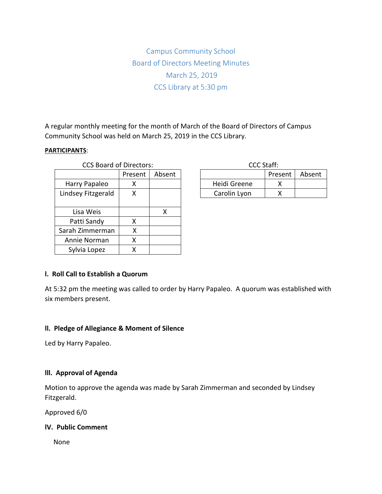Campus Community School Board of Directors Meeting Minutes March 25, 2019 CCS Library at 5:30 pm

A regular monthly meeting for the month of March of the Board of Directors of Campus Community School was held on March 25, 2019 in the CCS Library.

#### **PARTICIPANTS**:

| <b>CCS Board of Directors:</b> |         |        | CCC Staff:   |             |
|--------------------------------|---------|--------|--------------|-------------|
|                                | Present | Absent |              | <b>Pres</b> |
| Harry Papaleo                  | x       |        | Heidi Greene |             |
| Lindsey Fitzgerald             | Χ       |        | Carolin Lyon |             |
|                                |         |        |              |             |
| Lisa Weis                      |         | X      |              |             |
| Patti Sandy                    | x       |        |              |             |
| Sarah Zimmerman                | Χ       |        |              |             |
| Annie Norman                   | Χ       |        |              |             |
| Sylvia Lopez                   | x       |        |              |             |

| CCC Staff:   |         |        |  |  |  |
|--------------|---------|--------|--|--|--|
|              | Present | Absent |  |  |  |
| Heidi Greene |         |        |  |  |  |
| Carolin Lyon |         |        |  |  |  |

### **l. Roll Call to Establish a Quorum**

At 5:32 pm the meeting was called to order by Harry Papaleo. A quorum was established with six members present.

#### **ll. Pledge of Allegiance & Moment of Silence**

Led by Harry Papaleo.

### **lll. Approval of Agenda**

Motion to approve the agenda was made by Sarah Zimmerman and seconded by Lindsey Fitzgerald.

Approved 6/0

### **lV. Public Comment**

None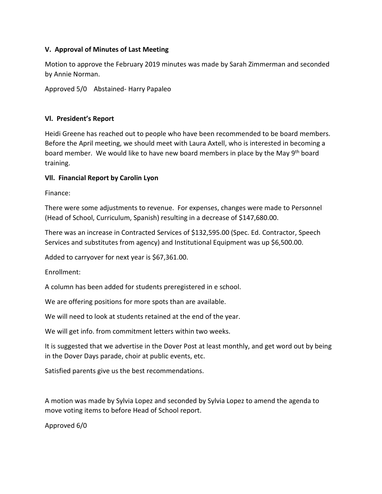## **V. Approval of Minutes of Last Meeting**

Motion to approve the February 2019 minutes was made by Sarah Zimmerman and seconded by Annie Norman.

Approved 5/0 Abstained- Harry Papaleo

# **Vl. President's Report**

Heidi Greene has reached out to people who have been recommended to be board members. Before the April meeting, we should meet with Laura Axtell, who is interested in becoming a board member. We would like to have new board members in place by the May 9<sup>th</sup> board training.

# **Vll. Financial Report by Carolin Lyon**

Finance:

There were some adjustments to revenue. For expenses, changes were made to Personnel (Head of School, Curriculum, Spanish) resulting in a decrease of \$147,680.00.

There was an increase in Contracted Services of \$132,595.00 (Spec. Ed. Contractor, Speech Services and substitutes from agency) and Institutional Equipment was up \$6,500.00.

Added to carryover for next year is \$67,361.00.

Enrollment:

A column has been added for students preregistered in e school.

We are offering positions for more spots than are available.

We will need to look at students retained at the end of the year.

We will get info. from commitment letters within two weeks.

It is suggested that we advertise in the Dover Post at least monthly, and get word out by being in the Dover Days parade, choir at public events, etc.

Satisfied parents give us the best recommendations.

A motion was made by Sylvia Lopez and seconded by Sylvia Lopez to amend the agenda to move voting items to before Head of School report.

Approved 6/0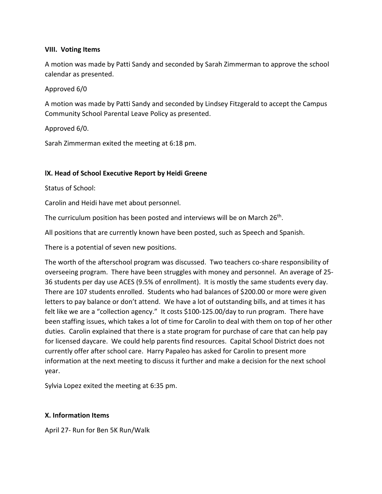### **VIII. Voting Items**

A motion was made by Patti Sandy and seconded by Sarah Zimmerman to approve the school calendar as presented.

## Approved 6/0

A motion was made by Patti Sandy and seconded by Lindsey Fitzgerald to accept the Campus Community School Parental Leave Policy as presented.

Approved 6/0.

Sarah Zimmerman exited the meeting at 6:18 pm.

## **lX. Head of School Executive Report by Heidi Greene**

Status of School:

Carolin and Heidi have met about personnel.

The curriculum position has been posted and interviews will be on March 26<sup>th</sup>.

All positions that are currently known have been posted, such as Speech and Spanish.

There is a potential of seven new positions.

The worth of the afterschool program was discussed. Two teachers co-share responsibility of overseeing program. There have been struggles with money and personnel. An average of 25- 36 students per day use ACES (9.5% of enrollment). It is mostly the same students every day. There are 107 students enrolled. Students who had balances of \$200.00 or more were given letters to pay balance or don't attend. We have a lot of outstanding bills, and at times it has felt like we are a "collection agency." It costs \$100-125.00/day to run program. There have been staffing issues, which takes a lot of time for Carolin to deal with them on top of her other duties. Carolin explained that there is a state program for purchase of care that can help pay for licensed daycare. We could help parents find resources. Capital School District does not currently offer after school care. Harry Papaleo has asked for Carolin to present more information at the next meeting to discuss it further and make a decision for the next school year.

Sylvia Lopez exited the meeting at 6:35 pm.

### **X. Information Items**

April 27- Run for Ben 5K Run/Walk